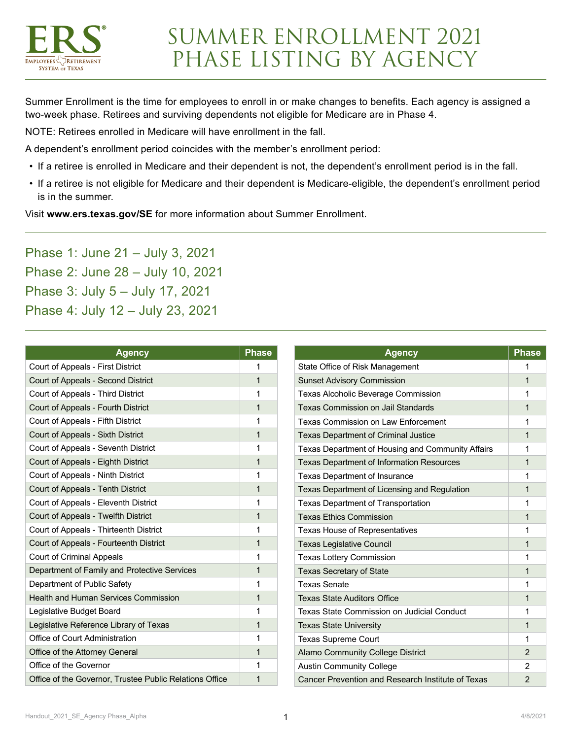

## SUMMER ENROLLMENT 2021 PHASE LISTING BY AGENCY

Summer Enrollment is the time for employees to enroll in or make changes to benefits. Each agency is assigned a two-week phase. Retirees and surviving dependents not eligible for Medicare are in Phase 4.

NOTE: Retirees enrolled in Medicare will have enrollment in the fall.

A dependent's enrollment period coincides with the member's enrollment period:

- If a retiree is enrolled in Medicare and their dependent is not, the dependent's enrollment period is in the fall.
- If a retiree is not eligible for Medicare and their dependent is Medicare-eligible, the dependent's enrollment period is in the summer.

Visit **[www.ers.texas.gov/SE](http://www.ers.texas.gov/SE)** for more information about Summer Enrollment.

Phase 1: June 21 – July 3, 2021 Phase 2: June 28 – July 10, 2021 Phase 3: July 5 – July 17, 2021 Phase 4: July 12 – July 23, 2021

| <b>Agency</b>                                           | <b>Phase</b> | <b>Agency</b>                                     | <b>Phase</b>   |
|---------------------------------------------------------|--------------|---------------------------------------------------|----------------|
| Court of Appeals - First District                       | 1            | State Office of Risk Management                   |                |
| Court of Appeals - Second District                      | $\mathbf{1}$ | <b>Sunset Advisory Commission</b>                 |                |
| Court of Appeals - Third District                       | 1            | Texas Alcoholic Beverage Commission               |                |
| Court of Appeals - Fourth District                      | $\mathbf{1}$ | <b>Texas Commission on Jail Standards</b>         | 1              |
| Court of Appeals - Fifth District                       | 1            | Texas Commission on Law Enforcement               |                |
| Court of Appeals - Sixth District                       | $\mathbf{1}$ | <b>Texas Department of Criminal Justice</b>       | 1              |
| Court of Appeals - Seventh District                     | 1            | Texas Department of Housing and Community Affairs |                |
| Court of Appeals - Eighth District                      | $\mathbf{1}$ | <b>Texas Department of Information Resources</b>  |                |
| Court of Appeals - Ninth District                       | 1            | Texas Department of Insurance                     |                |
| Court of Appeals - Tenth District                       | $\mathbf 1$  | Texas Department of Licensing and Regulation      |                |
| Court of Appeals - Eleventh District                    | 1            | Texas Department of Transportation                |                |
| Court of Appeals - Twelfth District                     | 1            | <b>Texas Ethics Commission</b>                    |                |
| Court of Appeals - Thirteenth District                  | 1            | Texas House of Representatives                    |                |
| Court of Appeals - Fourteenth District                  | $\mathbf{1}$ | <b>Texas Legislative Council</b>                  |                |
| <b>Court of Criminal Appeals</b>                        | 1            | <b>Texas Lottery Commission</b>                   |                |
| Department of Family and Protective Services            | $\mathbf{1}$ | <b>Texas Secretary of State</b>                   |                |
| Department of Public Safety                             | 1            | <b>Texas Senate</b>                               |                |
| <b>Health and Human Services Commission</b>             | 1            | <b>Texas State Auditors Office</b>                |                |
| Legislative Budget Board                                | 1            | Texas State Commission on Judicial Conduct        |                |
| Legislative Reference Library of Texas                  | $\mathbf{1}$ | <b>Texas State University</b>                     | 1              |
| Office of Court Administration                          | 1            | <b>Texas Supreme Court</b>                        |                |
| Office of the Attorney General                          | $\mathbf{1}$ | <b>Alamo Community College District</b>           | 2              |
| Office of the Governor                                  | 1            | <b>Austin Community College</b>                   | $\overline{2}$ |
| Office of the Governor, Trustee Public Relations Office | $\mathbf{1}$ | Cancer Prevention and Research Institute of Texas | $\overline{2}$ |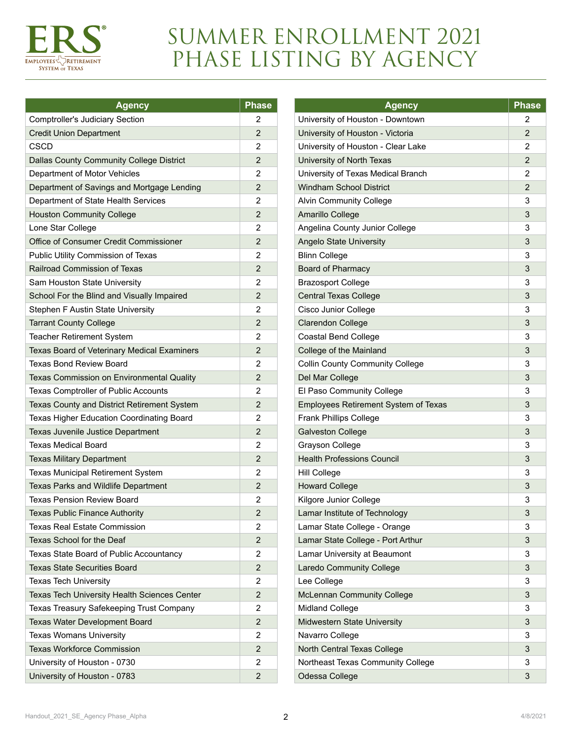

## SUMMER ENROLLMENT 2021 PHASE LISTING BY AGENCY

| <b>Agency</b>                                    | <b>Phase</b>   |
|--------------------------------------------------|----------------|
| <b>Comptroller's Judiciary Section</b>           | 2              |
| <b>Credit Union Department</b>                   |                |
| CSCD                                             |                |
| <b>Dallas County Community College District</b>  | $\overline{2}$ |
| Department of Motor Vehicles                     |                |
| Department of Savings and Mortgage Lending       |                |
| Department of State Health Services              |                |
| <b>Houston Community College</b>                 | 2              |
| Lone Star College                                | $\overline{2}$ |
| Office of Consumer Credit Commissioner           | 2              |
| Public Utility Commission of Texas               | 2              |
| <b>Railroad Commission of Texas</b>              | $\overline{2}$ |
| Sam Houston State University                     | 2              |
| School For the Blind and Visually Impaired       | $\overline{2}$ |
| Stephen F Austin State University                | 2              |
| <b>Tarrant County College</b>                    | $\overline{2}$ |
| Teacher Retirement System                        | 2              |
| Texas Board of Veterinary Medical Examiners      | $\overline{2}$ |
| <b>Texas Bond Review Board</b>                   | 2              |
| <b>Texas Commission on Environmental Quality</b> | 2              |
| Texas Comptroller of Public Accounts             | 2              |
| Texas County and District Retirement System      | $\overline{2}$ |
| Texas Higher Education Coordinating Board        | 2              |
| Texas Juvenile Justice Department                | $\overline{2}$ |
| <b>Texas Medical Board</b>                       | 2              |
| <b>Texas Military Department</b>                 | $\overline{2}$ |
| <b>Texas Municipal Retirement System</b>         | 2              |
| <b>Texas Parks and Wildlife Department</b>       | $\overline{2}$ |
| <b>Texas Pension Review Board</b>                | 2              |
| <b>Texas Public Finance Authority</b>            | $\overline{2}$ |
| <b>Texas Real Estate Commission</b>              | 2              |
| Texas School for the Deaf                        | $\overline{2}$ |
| Texas State Board of Public Accountancy          | 2              |
| <b>Texas State Securities Board</b>              | $\overline{2}$ |
| <b>Texas Tech University</b>                     | 2              |
| Texas Tech University Health Sciences Center     | 2              |
| Texas Treasury Safekeeping Trust Company         | 2              |
| Texas Water Development Board                    | $\overline{2}$ |
| <b>Texas Womans University</b>                   | 2              |
| <b>Texas Workforce Commission</b>                | $\overline{2}$ |
| University of Houston - 0730                     | 2              |
| University of Houston - 0783                     | $\overline{2}$ |

| <b>Agency</b>                          | <b>Phase</b>   |
|----------------------------------------|----------------|
| University of Houston - Downtown       | 2              |
| University of Houston - Victoria       | $\overline{2}$ |
| University of Houston - Clear Lake     |                |
| University of North Texas              |                |
| University of Texas Medical Branch     |                |
| <b>Windham School District</b>         |                |
| <b>Alvin Community College</b>         | 3              |
| Amarillo College                       | 3              |
| Angelina County Junior College         | 3              |
| <b>Angelo State University</b>         | 3              |
| <b>Blinn College</b>                   | 3              |
| <b>Board of Pharmacy</b>               | 3              |
| <b>Brazosport College</b>              | 3              |
| <b>Central Texas College</b>           | 3              |
| Cisco Junior College                   | 3              |
| <b>Clarendon College</b>               | 3              |
| <b>Coastal Bend College</b>            | 3              |
| College of the Mainland                | 3              |
| <b>Collin County Community College</b> | 3              |
| Del Mar College                        | 3              |
| El Paso Community College              | 3              |
| Employees Retirement System of Texas   | 3              |
| Frank Phillips College                 | 3              |
| <b>Galveston College</b>               | 3              |
| Grayson College                        | 3              |
| <b>Health Professions Council</b>      | 3              |
| Hill College                           | 3              |
| <b>Howard College</b>                  | 3              |
| Kilgore Junior College                 | 3              |
| Lamar Institute of Technology          | 3              |
| Lamar State College - Orange           | 3              |
| Lamar State College - Port Arthur      | 3              |
| Lamar University at Beaumont           | 3              |
| Laredo Community College               | 3              |
| Lee College                            | 3              |
| <b>McLennan Community College</b>      | 3              |
| <b>Midland College</b>                 | 3              |
| <b>Midwestern State University</b>     | 3              |
| Navarro College                        | 3              |
| North Central Texas College            | 3              |
| Northeast Texas Community College      | 3              |
| Odessa College                         |                |